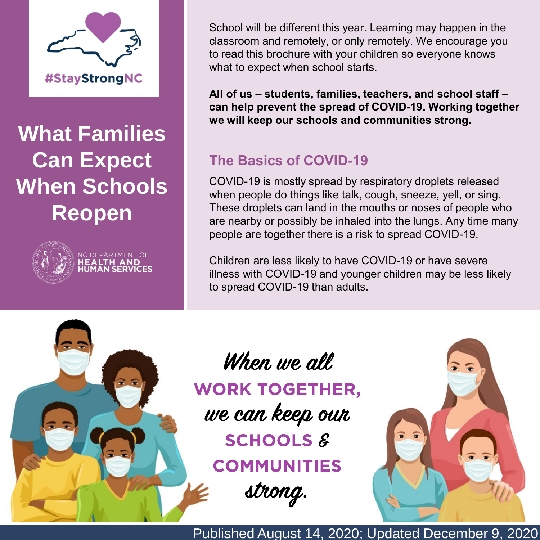

**What Families Can Expect When Schools Reopen**



IC DEPARTMENT OF

School will be different this year. Learning may happen in the classroom and remotely, or only remotely. We encourage you to read this brochure with your children so everyone knows what to expect when school starts.

**All of us – students, families, teachers, and school staff – can help prevent the spread of COVID-19. Working together we will keep our schools and communities strong.**

# **The Basics of COVID-19**

COVID-19 is mostly spread by respiratory droplets released when people do things like talk, cough, sneeze, yell, or sing. These droplets can land in the mouths or noses of people who are nearby or possibly be inhaled into the lungs. Any time many people are together there is a risk to spread COVID-19.

Children are less likely to have COVID-19 or have severe illness with COVID-19 and younger children may be less likely to spread COVID-19 than adults.



When we all **WORK TOGETHER,** we can keep our **SCHOOLS & COMMUNITIES** strong.



Published August 14, 2020; Updated December 9, 2020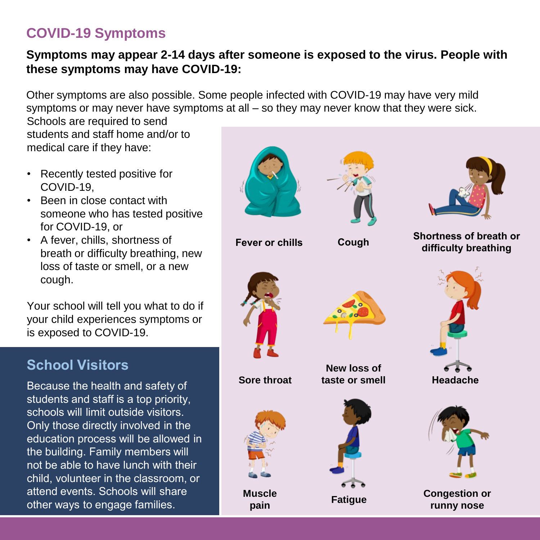# **COVID-19 Symptoms**

#### **Symptoms may appear 2-14 days after someone is exposed to the virus. People with these symptoms may have COVID-19:**

Other symptoms are also possible. Some people infected with COVID-19 may have very mild symptoms or may never have symptoms at all – so they may never know that they were sick.

Schools are required to send students and staff home and/or to medical care if they have:

- Recently tested positive for COVID-19,
- Been in close contact with someone who has tested positive for COVID-19, or
- A fever, chills, shortness of breath or difficulty breathing, new loss of taste or smell, or a new cough.

Your school will tell you what to do if your child experiences symptoms or is exposed to COVID-19.

# **School Visitors**

Because the health and safety of students and staff is a top priority, schools will limit outside visitors. Only those directly involved in the education process will be allowed in the building. Family members will not be able to have lunch with their child, volunteer in the classroom, or attend events. Schools will share other ways to engage families.

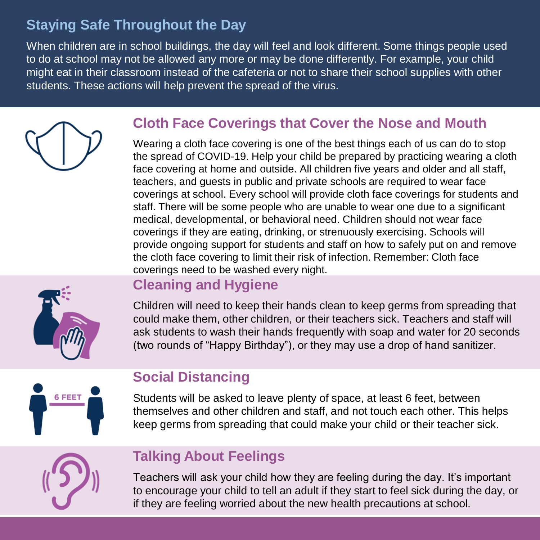# **Staying Safe Throughout the Day**

When children are in school buildings, the day will feel and look different. Some things people used to do at school may not be allowed any more or may be done differently. For example, your child might eat in their classroom instead of the cafeteria or not to share their school supplies with other students. These actions will help prevent the spread of the virus.

### **Cloth Face Coverings that Cover the Nose and Mouth**

Wearing a cloth face covering is one of the best things each of us can do to stop the spread of COVID-19. Help your child be prepared by practicing wearing a cloth face covering at home and outside. All children five years and older and all staff, teachers, and guests in public and private schools are required to wear face coverings at school. Every school will provide cloth face coverings for students and staff. There will be some people who are unable to wear one due to a significant medical, developmental, or behavioral need. Children should not wear face coverings if they are eating, drinking, or strenuously exercising. Schools will provide ongoing support for students and staff on how to safely put on and remove the cloth face covering to limit their risk of infection. Remember: Cloth face coverings need to be washed every night.



### **Cleaning and Hygiene**

Children will need to keep their hands clean to keep germs from spreading that could make them, other children, or their teachers sick. Teachers and staff will ask students to wash their hands frequently with soap and water for 20 seconds (two rounds of "Happy Birthday"), or they may use a drop of hand sanitizer.



### **Social Distancing**

Students will be asked to leave plenty of space, at least 6 feet, between themselves and other children and staff, and not touch each other. This helps keep germs from spreading that could make your child or their teacher sick.

# **Talking About Feelings**

Teachers will ask your child how they are feeling during the day. It's important to encourage your child to tell an adult if they start to feel sick during the day, or if they are feeling worried about the new health precautions at school.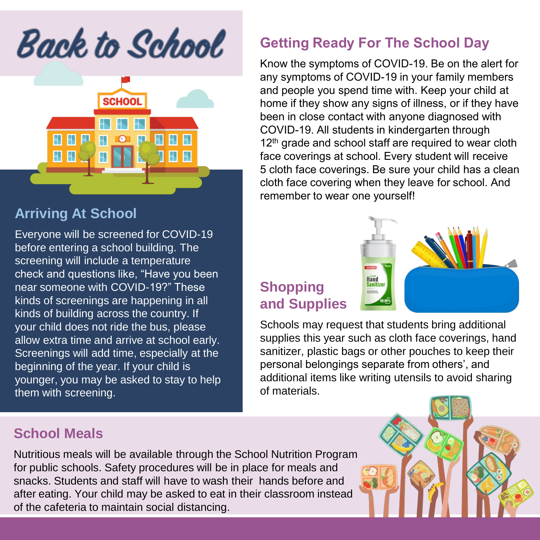**Back to School** 



#### **Arriving At School**

Everyone will be screened for COVID-19 before entering a school building. The screening will include a temperature check and questions like, "Have you been near someone with COVID-19?" These kinds of screenings are happening in all kinds of building across the country. If your child does not ride the bus, please allow extra time and arrive at school early. Screenings will add time, especially at the beginning of the year. If your child is younger, you may be asked to stay to help them with screening.

### **School Meals**

### **Getting Ready For The School Day**

Know the symptoms of COVID-19. Be on the alert for any symptoms of COVID-19 in your family members and people you spend time with. Keep your child at home if they show any signs of illness, or if they have been in close contact with anyone diagnosed with COVID-19. All students in kindergarten through 12<sup>th</sup> grade and school staff are required to wear cloth face coverings at school. Every student will receive 5 cloth face coverings. Be sure your child has a clean cloth face covering when they leave for school. And remember to wear one yourself!

# **Shopping and Supplies**



Schools may request that students bring additional supplies this year such as cloth face coverings, hand sanitizer, plastic bags or other pouches to keep their personal belongings separate from others', and additional items like writing utensils to avoid sharing of materials.

Nutritious meals will be available through the School Nutrition Program for public schools. Safety procedures will be in place for meals and snacks. Students and staff will have to wash their hands before and after eating. Your child may be asked to eat in their classroom instead of the cafeteria to maintain social distancing.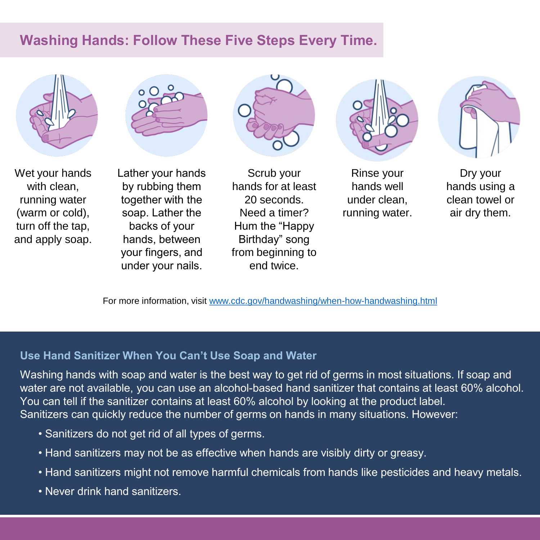### **Washing Hands: Follow These Five Steps Every Time.**







Lather your hands by rubbing them together with the soap. Lather the backs of your hands, between your fingers, and under your nails.





Rinse your hands well under clean, running water.



Dry your hands using a clean towel or air dry them.

For more information, visit [www.cdc.gov/handwashing/when-how-handwashing.html](http://www.cdc.gov/handwashing/when-how-handwashing.html)

#### **Use Hand Sanitizer When You Can't Use Soap and Water**

Washing hands with soap and water is the best way to get rid of germs in most situations. If soap and water are not available, you can use an alcohol-based hand sanitizer that contains at least 60% alcohol. You can tell if the sanitizer contains at least 60% alcohol by looking at the product label. Sanitizers can quickly reduce the number of germs on hands in many situations. However:

- Sanitizers do not get rid of all types of germs.
- Hand sanitizers may not be as effective when hands are visibly dirty or greasy.
- Hand sanitizers might not remove harmful chemicals from hands like pesticides and heavy metals.
- Never drink hand sanitizers.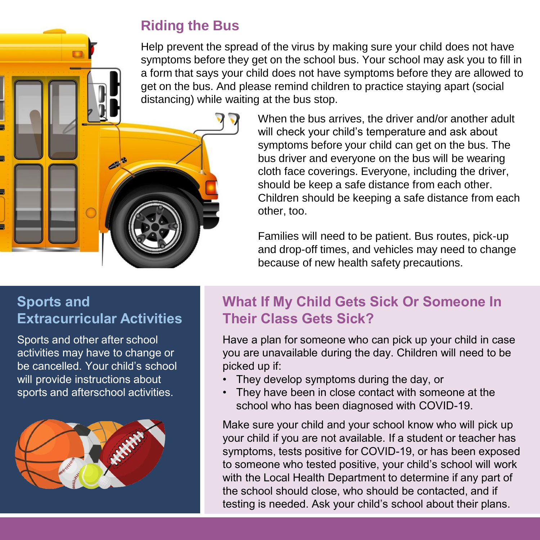# **Riding the Bus**

Help prevent the spread of the virus by making sure your child does not have symptoms before they get on the school bus. Your school may ask you to fill in a form that says your child does not have symptoms before they are allowed to get on the bus. And please remind children to practice staying apart (social distancing) while waiting at the bus stop.

> When the bus arrives, the driver and/or another adult will check your child's temperature and ask about symptoms before your child can get on the bus. The bus driver and everyone on the bus will be wearing cloth face coverings. Everyone, including the driver, should be keep a safe distance from each other. Children should be keeping a safe distance from each other, too.

Families will need to be patient. Bus routes, pick-up and drop-off times, and vehicles may need to change because of new health safety precautions.

### **Sports and Extracurricular Activities**

Sports and other after school activities may have to change or be cancelled. Your child's school will provide instructions about sports and afterschool activities.



# **What If My Child Gets Sick Or Someone In Their Class Gets Sick?**

Have a plan for someone who can pick up your child in case you are unavailable during the day. Children will need to be picked up if:

- They develop symptoms during the day, or
- They have been in close contact with someone at the school who has been diagnosed with COVID-19.

Make sure your child and your school know who will pick up your child if you are not available. If a student or teacher has symptoms, tests positive for COVID-19, or has been exposed to someone who tested positive, your child's school will work with the Local Health Department to determine if any part of the school should close, who should be contacted, and if testing is needed. Ask your child's school about their plans.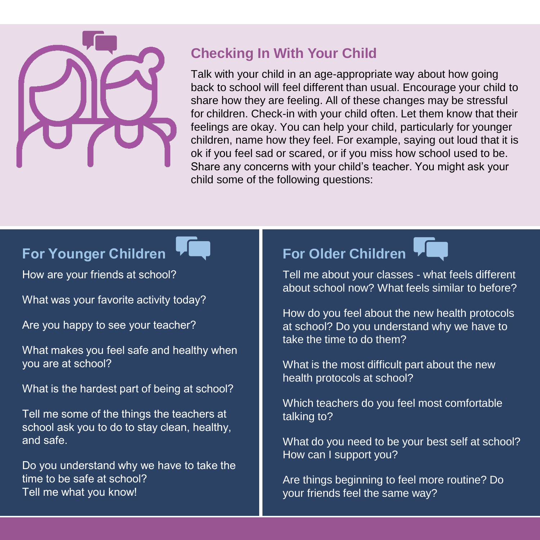

# **Checking In With Your Child**

Talk with your child in an age-appropriate way about how going back to school will feel different than usual. Encourage your child to share how they are feeling. All of these changes may be stressful for children. Check-in with your child often. Let them know that their feelings are okay. You can help your child, particularly for younger children, name how they feel. For example, saying out loud that it is ok if you feel sad or scared, or if you miss how school used to be. Share any concerns with your child's teacher. You might ask your child some of the following questions:

# **For Younger Children**

How are your friends at school?

What was your favorite activity today?

Are you happy to see your teacher?

What makes you feel safe and healthy when you are at school?

What is the hardest part of being at school?

Tell me some of the things the teachers at school ask you to do to stay clean, healthy, and safe.

Do you understand why we have to take the time to be safe at school? Tell me what you know!

# **For Older Children**



Tell me about your classes - what feels different about school now? What feels similar to before?

How do you feel about the new health protocols at school? Do you understand why we have to take the time to do them?

What is the most difficult part about the new health protocols at school?

Which teachers do you feel most comfortable talking to?

What do you need to be your best self at school? How can I support you?

Are things beginning to feel more routine? Do your friends feel the same way?